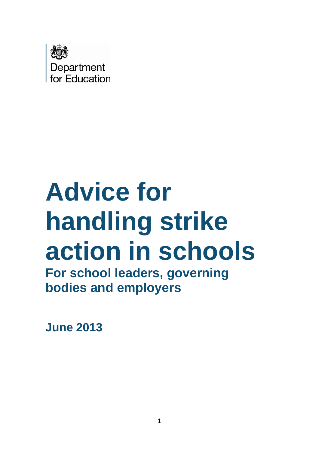

# **Advice for handling strike action in schools**

**For school leaders, governing bodies and employers** 

**June 2013**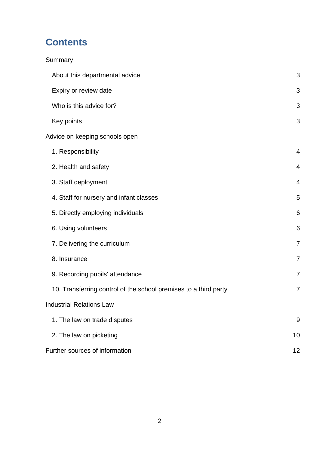# **Contents**

<span id="page-1-0"></span>

| Summary                                                          |                 |
|------------------------------------------------------------------|-----------------|
| About this departmental advice                                   | 3               |
| Expiry or review date                                            | 3               |
| Who is this advice for?                                          | 3               |
| Key points                                                       | 3               |
| Advice on keeping schools open                                   |                 |
| 1. Responsibility                                                | 4               |
| 2. Health and safety                                             | $\overline{4}$  |
| 3. Staff deployment                                              | 4               |
| 4. Staff for nursery and infant classes                          | 5               |
| 5. Directly employing individuals                                | $6\phantom{1}6$ |
| 6. Using volunteers                                              | 6               |
| 7. Delivering the curriculum                                     | $\overline{7}$  |
| 8. Insurance                                                     | $\overline{7}$  |
| 9. Recording pupils' attendance                                  | 7               |
| 10. Transferring control of the school premises to a third party | 7               |
| <b>Industrial Relations Law</b>                                  |                 |
| 1. The law on trade disputes                                     | 9               |
| 2. The law on picketing                                          | 10              |
| Further sources of information                                   | 12              |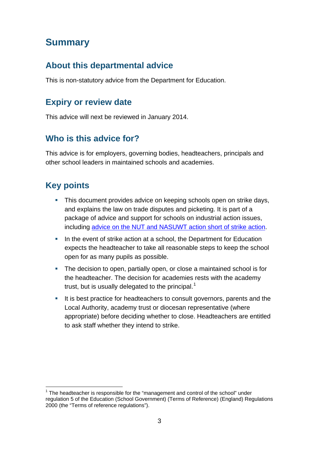# **Summary**

## <span id="page-2-0"></span>**About this departmental advice**

<span id="page-2-1"></span>This is non-statutory advice from the Department for Education.

## **Expiry or review date**

<span id="page-2-2"></span>This advice will next be reviewed in January 2014.

# **Who is this advice for?**

This advice is for employers, governing bodies, headteachers, principals and other school leaders in maintained schools and academies.

# <span id="page-2-3"></span>**Key points**

- This document provides advice on keeping schools open on strike days, and explains the law on trade disputes and picketing. It is part of a package of advice and support for schools on industrial action issues, including [advice on the NUT and NASUWT action](http://education.gov.uk/aboutdfe/advice/f00218425/nut-nasuwt-ind-action) short of strike action.
- In the event of strike action at a school, the Department for Education expects the headteacher to take all reasonable steps to keep the school open for as many pupils as possible.
- The decision to open, partially open, or close a maintained school is for the headteacher. The decision for academies rests with the academy trust, but is usually delegated to the principal.<sup>[1](#page-2-5)</sup>
- <span id="page-2-4"></span>It is best practice for headteachers to consult governors, parents and the Local Authority, academy trust or diocesan representative (where appropriate) before deciding whether to close. Headteachers are entitled to ask staff whether they intend to strike.

<span id="page-2-5"></span> $1$  The headteacher is responsible for the "management and control of the school" under regulation 5 of the Education (School Government) (Terms of Reference) (England) Regulations 2000 (the "Terms of reference regulations").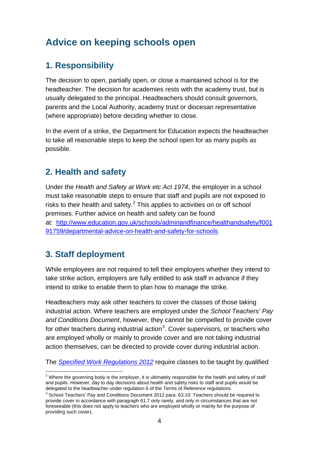# **Advice on keeping schools open**

## **1. Responsibility**

The decision to open, partially open, or close a maintained school is for the headteacher. The decision for academies rests with the academy trust, but is usually delegated to the principal. Headteachers should consult governors, parents and the Local Authority, academy trust or diocesan representative (where appropriate) before deciding whether to close.

In the event of a strike, the Department for Education expects the headteacher to take all reasonable steps to keep the school open for as many pupils as possible.

# **2. Health and safety**

Under the *Health and Safety at Work etc Act 1974*, the employer in a school must take reasonable steps to ensure that staff and pupils are not exposed to risks to their health and safety. $2$  This applies to activities on or off school premises. Further advice on health and safety can be found at: [http://www.education.gov.uk/schools/adminandfinance/healthandsafety/f001](http://www.education.gov.uk/schools/adminandfinance/healthandsafety/f00191759/departmental-advice-on-health-and-safety-for-schools) [91759/departmental-advice-on-health-and-safety-for-schools](http://www.education.gov.uk/schools/adminandfinance/healthandsafety/f00191759/departmental-advice-on-health-and-safety-for-schools)

# **3. Staff deployment**

While employees are not required to tell their employers whether they intend to take strike action, employers are fully entitled to ask staff in advance if they intend to strike to enable them to plan how to manage the strike.

Headteachers may ask other teachers to cover the classes of those taking industrial action. Where teachers are employed under the *School Teachers' Pay and Conditions Document*, however, they cannot be compelled to provide cover for other teachers during industrial action<sup>[3](#page-3-1)</sup>. Cover supervisors, or teachers who are employed wholly or mainly to provide cover and are not taking industrial action themselves, can be directed to provide cover during industrial action.

The *[Specified Work Regulations 2012](http://www.legislation.gov.uk/uksi/2012/762/made)* require classes to be taught by qualified

<span id="page-3-0"></span> $2$  Where the governing body is the employer, it is ultimately responsible for the health and safety of staff and pupils. However, day to day decisions about health and safety risks to staff and pupils would be delegated to the headteacher under regulation 6 of the Terms of Reference regulations.

<span id="page-3-1"></span> $3$  School Teachers' Pay and Conditions Document 2012 para. 63.10: Teachers should be required to provide cover in accordance with paragraph 61.7 only rarely, and only in circumstances that are not foreseeable (this does not apply to teachers who are employed wholly or mainly for the purpose of providing such cover).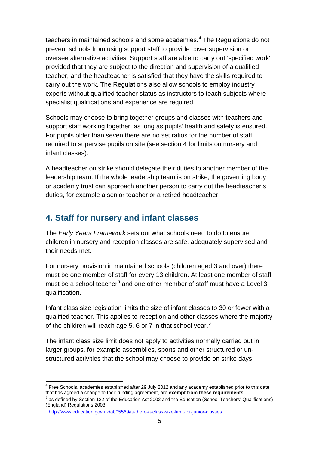teachers in maintained schools and some academies.<sup>[4](#page-4-0)</sup> The Regulations do not prevent schools from using support staff to provide cover supervision or oversee alternative activities. Support staff are able to carry out 'specified work' provided that they are subject to the direction and supervision of a qualified teacher, and the headteacher is satisfied that they have the skills required to carry out the work. The Regulations also allow schools to employ industry experts without qualified teacher status as instructors to teach subjects where specialist qualifications and experience are required.

Schools may choose to bring together groups and classes with teachers and support staff working together, as long as pupils' health and safety is ensured. For pupils older than seven there are no set ratios for the number of staff required to supervise pupils on site (see section 4 for limits on nursery and infant classes).

A headteacher on strike should delegate their duties to another member of the leadership team. If the whole leadership team is on strike, the governing body or academy trust can approach another person to carry out the headteacher's duties, for example a senior teacher or a retired headteacher.

## **4. Staff for nursery and infant classes**

The *Early Years Framework* sets out what schools need to do to ensure children in nursery and reception classes are safe, adequately supervised and their needs met.

For nursery provision in maintained schools (children aged 3 and over) there must be one member of staff for every 13 children. At least one member of staff must be a school teacher<sup>[5](#page-4-1)</sup> and one other member of staff must have a Level 3 qualification.

Infant class size legislation limits the size of infant classes to 30 or fewer with a qualified teacher. This applies to reception and other classes where the majority of the children will reach age 5, [6](#page-4-2) or 7 in that school year.<sup>6</sup>

The infant class size limit does not apply to activities normally carried out in larger groups, for example assemblies, sports and other structured or unstructured activities that the school may choose to provide on strike days.

<span id="page-4-0"></span> <sup>4</sup> Free Schools, academies established after 29 July 2012 and any academy established prior to this date that has agreed a change to their funding agreement, are **exempt from these requirements**.

<span id="page-4-1"></span> $<sup>5</sup>$  as defined by Section 122 of the Education Act 2002 and the Education (School Teachers' Qualifications)</sup> (England) Regulations 2003.

<span id="page-4-2"></span><sup>&</sup>lt;sup>6</sup> <http://www.education.gov.uk/a005569/is-there-a-class-size-limit-for-junior-classes>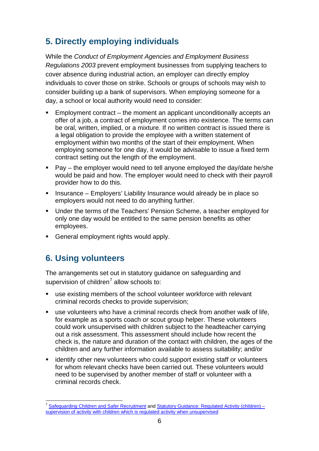# **5. Directly employing individuals**

While the *Conduct of Employment Agencies and Employment Business Regulations 2003* prevent employment businesses from supplying teachers to cover absence during industrial action, an employer can directly employ individuals to cover those on strike. Schools or groups of schools may wish to consider building up a bank of supervisors. When employing someone for a day, a school or local authority would need to consider:

- Employment contract the moment an applicant unconditionally accepts an offer of a job, a contract of employment comes into existence. The terms can be oral, written, implied, or a mixture. If no written contract is issued there is a legal obligation to provide the employee with a written statement of employment within two months of the start of their employment. When employing someone for one day, it would be advisable to issue a fixed term contract setting out the length of the employment.
- Pay the employer would need to tell anyone employed the day/date he/she would be paid and how. The employer would need to check with their payroll provider how to do this.
- **Insurance Employers' Liability Insurance would already be in place so** employers would not need to do anything further.
- Under the terms of the Teachers' Pension Scheme, a teacher employed for only one day would be entitled to the same pension benefits as other employees.
- General employment rights would apply.

# **6. Using volunteers**

The arrangements set out in statutory guidance on safeguarding and supervision of children<sup>[7](#page-5-0)</sup> allow schools to:

- use existing members of the school volunteer workforce with relevant criminal records checks to provide supervision;
- use volunteers who have a criminal records check from another walk of life, for example as a sports coach or scout group helper. These volunteers could work unsupervised with children subject to the headteacher carrying out a risk assessment. This assessment should include how recent the check is, the nature and duration of the contact with children, the ages of the children and any further information available to assess suitability; and/or
- **EXT** identify other new volunteers who could support existing staff or volunteers for whom relevant checks have been carried out. These volunteers would need to be supervised by another member of staff or volunteer with a criminal records check.

<span id="page-5-0"></span><sup>&</sup>lt;sup>7</sup> [Safeguarding Children and Safer Recruitment](http://www.education.gov.uk/aboutdfe/statutory/g00213145/safeguarding-children-safer-recruitment) and Statutory Guidance: Regulated Activity (children) [supervision of activity with children which is regulated activity when unsupervised](http://www.education.gov.uk/aboutdfe/statutory/g00213977/supervision-guidance)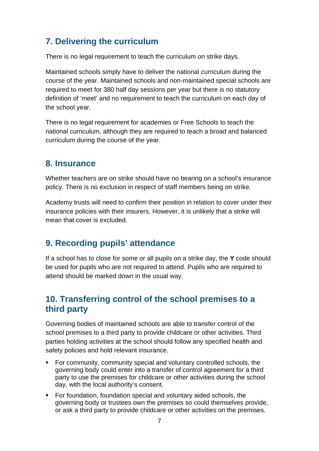## **7. Delivering the curriculum**

There is no legal requirement to teach the curriculum on strike days.

Maintained schools simply have to deliver the national curriculum during the course of the year. Maintained schools and non-maintained special schools are required to meet for 380 half day sessions per year but there is no statutory definition of 'meet' and no requirement to teach the curriculum on each day of the school year.

There is no legal requirement for academies or Free Schools to teach the national curriculum, although they are required to teach a broad and balanced curriculum during the course of the year.

#### **8. Insurance**

Whether teachers are on strike should have no bearing on a school's insurance policy. There is no exclusion in respect of staff members being on strike.

Academy trusts will need to confirm their position in relation to cover under their insurance policies with their insurers. However, it is unlikely that a strike will mean that cover is excluded.

## **9. Recording pupils' attendance**

If a school has to close for some or all pupils on a strike day, the **Y** code should be used for pupils who are not required to attend. Pupils who are required to attend should be marked down in the usual way.

### **10. Transferring control of the school premises to a third party**

Governing bodies of maintained schools are able to transfer control of the school premises to a third party to provide childcare or other activities. Third parties holding activities at the school should follow any specified health and safety policies and hold relevant insurance.

- For community, community special and voluntary controlled schools, the governing body could enter into a transfer of control agreement for a third party to use the premises for childcare or other activities during the school day, with the local authority's consent.
- For foundation, foundation special and voluntary aided schools, the governing body or trustees own the premises so could themselves provide, or ask a third party to provide childcare or other activities on the premises.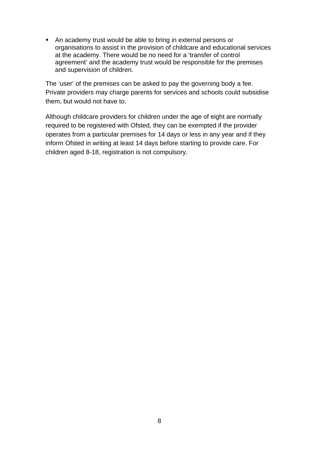An academy trust would be able to bring in external persons or organisations to assist in the provision of childcare and educational services at the academy. There would be no need for a 'transfer of control agreement' and the academy trust would be responsible for the premises and supervision of children.

The 'user' of the premises can be asked to pay the governing body a fee. Private providers may charge parents for services and schools could subsidise them, but would not have to.

Although childcare providers for children under the age of eight are normally required to be registered with Ofsted, they can be exempted if the provider operates from a particular premises for 14 days or less in any year and if they inform Ofsted in writing at least 14 days before starting to provide care. For children aged 8-18, registration is not compulsory.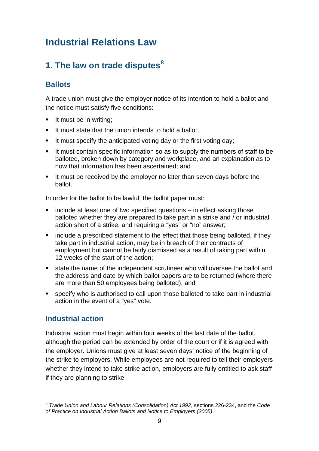# **Industrial Relations Law**

# **1. The law on trade disputes[8](#page-8-0)**

#### **Ballots**

A trade union must give the employer notice of its intention to hold a ballot and the notice must satisfy five conditions:

- $\blacksquare$  It must be in writing;
- It must state that the union intends to hold a ballot;
- It must specify the anticipated voting day or the first voting day;
- It must contain specific information so as to supply the numbers of staff to be balloted, broken down by category and workplace, and an explanation as to how that information has been ascertained; and
- If must be received by the employer no later than seven days before the ballot.

In order for the ballot to be lawful, the ballot paper must:

- include at least one of two specified questions in effect asking those balloted whether they are prepared to take part in a strike and / or industrial action short of a strike, and requiring a "yes" or "no" answer;
- include a prescribed statement to the effect that those being balloted, if they take part in industrial action, may be in breach of their contracts of employment but cannot be fairly dismissed as a result of taking part within 12 weeks of the start of the action;
- state the name of the independent scrutineer who will oversee the ballot and the address and date by which ballot papers are to be returned (where there are more than 50 employees being balloted); and
- specify who is authorised to call upon those balloted to take part in industrial action in the event of a "yes" vote.

#### **Industrial action**

Industrial action must begin within four weeks of the last date of the ballot, although the period can be extended by order of the court or if it is agreed with the employer. Unions must give at least seven days' notice of the beginning of the strike to employers. While employees are not required to tell their employers whether they intend to take strike action, employers are fully entitled to ask staff if they are planning to strike.

<span id="page-8-0"></span> <sup>8</sup> *Trade Union and Labour Relations (Consolidation) Act 1992*, sections 226-234, and the *Code of Practice on Industrial Action Ballots and Notice to Employers (2005)*.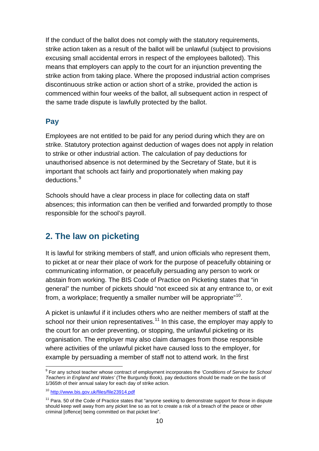If the conduct of the ballot does not comply with the statutory requirements, strike action taken as a result of the ballot will be unlawful (subject to provisions excusing small accidental errors in respect of the employees balloted). This means that employers can apply to the court for an injunction preventing the strike action from taking place. Where the proposed industrial action comprises discontinuous strike action or action short of a strike, provided the action is commenced within four weeks of the ballot, all subsequent action in respect of the same trade dispute is lawfully protected by the ballot.

#### **Pay**

Employees are not entitled to be paid for any period during which they are on strike. Statutory protection against deduction of wages does not apply in relation to strike or other industrial action. The calculation of pay deductions for unauthorised absence is not determined by the Secretary of State, but it is important that schools act fairly and proportionately when making pay deductions.[9](#page-9-0)

Schools should have a clear process in place for collecting data on staff absences; this information can then be verified and forwarded promptly to those responsible for the school's payroll.

## **2. The law on picketing**

It is lawful for striking members of staff, and union officials who represent them, to picket at or near their place of work for the purpose of peacefully obtaining or communicating information, or peacefully persuading any person to work or abstain from working. The BIS Code of Practice on Picketing states that "in general" the number of pickets should "not exceed six at any entrance to, or exit from, a workplace; frequently a smaller number will be appropriate<sup>"[10](#page-9-1)</sup>.

A picket is unlawful if it includes others who are neither members of staff at the school nor their union representatives.<sup>[11](#page-9-2)</sup> In this case, the employer may apply to the court for an order preventing, or stopping, the unlawful picketing or its organisation. The employer may also claim damages from those responsible where activities of the unlawful picket have caused loss to the employer, for example by persuading a member of staff not to attend work. In the first

<span id="page-9-0"></span> <sup>9</sup> For any school teacher whose contract of employment incorporates the *'Conditions of Service for School Teachers in England and Wales'* (The Burgundy Book), pay deductions should be made on the basis of 1/365th of their annual salary for each day of strike action.

<span id="page-9-1"></span><sup>10</sup> <http://www.bis.gov.uk/files/file23914.pdf>

<span id="page-9-2"></span><sup>&</sup>lt;sup>11</sup> Para. 50 of the Code of Practice states that "anyone seeking to demonstrate support for those in dispute should keep well away from any picket line so as not to create a risk of a breach of the peace or other criminal [offence] being committed on that picket line".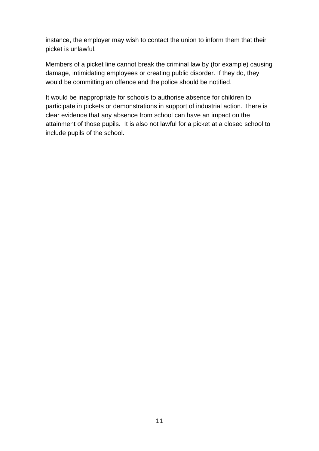instance, the employer may wish to contact the union to inform them that their picket is unlawful.

Members of a picket line cannot break the criminal law by (for example) causing damage, intimidating employees or creating public disorder. If they do, they would be committing an offence and the police should be notified.

<span id="page-10-0"></span>It would be inappropriate for schools to authorise absence for children to participate in pickets or demonstrations in support of industrial action. There is clear evidence that any absence from school can have an impact on the attainment of those pupils. It is also not lawful for a picket at a closed school to include pupils of the school.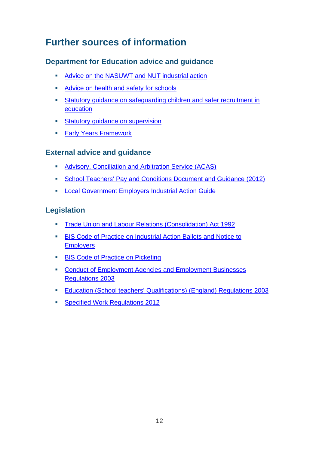# **Further sources of information**

#### **Department for Education advice and guidance**

- [Advice on the NASUWT and NUT industrial action](http://www.education.gov.uk/aboutdfe/advice/f00218425/nut-nasuwt-ind-action)
- **[Advice on health and safety for schools](http://www.education.gov.uk/schools/adminandfinance/healthandsafety/f00191759/departmental-advice-on-health-and-safety-for-schools)**
- [Statutory guidance on safeguarding children](http://www.education.gov.uk/aboutdfe/statutory/g00213145/safeguarding-children-safer-recruitment) and safer recruitment in [education](http://www.education.gov.uk/aboutdfe/statutory/g00213145/safeguarding-children-safer-recruitment)
- **Statutory quidance on supervision**
- **[Early Years Framework](http://www.education.gov.uk/aboutdfe/statutory/g00213120/eyfs-statutory-framework)**

#### **External advice and guidance**

- **[Advisory, Conciliation and](http://www.acas.org.uk/index.aspx?articleid=1461) Arbitration Service (ACAS)**
- [School Teachers' Pay and Conditions Document and Guidance \(2012\)](https://www.education.gov.uk/publications/standard/publicationDetail/Page1/DFE-00091-2012#downloadableparts)
- **Example 2** Local Government Employers Industrial Action Guide

#### **Legislation**

- [Trade Union and Labour Relations \(Consolidation\) Act 1992](http://www.legislation.gov.uk/ukpga/1992/52/contents)
- **[BIS Code of Practice on Industrial Action Ballots](http://www.bis.gov.uk/files/file18013.pdf) and Notice to [Employers](http://www.bis.gov.uk/files/file18013.pdf)**
- **[BIS Code of Practice on Picketing](http://www.bis.gov.uk/files/file23914.pdf)**
- **EXECONDUCT CONDUCT CONDUCT ADDET** Conduct of Employment Agencies and Employment Businesses [Regulations 2003](http://www.legislation.gov.uk/uksi/2003/3319/contents/made)
- [Education \(School teachers' Qualifications\) \(England\) Regulations 2003](http://www.legislation.gov.uk/uksi/2003/1662/contents/made)
- **[Specified Work Regulations 2012](http://www.legislation.gov.uk/uksi/2012/762/made)**